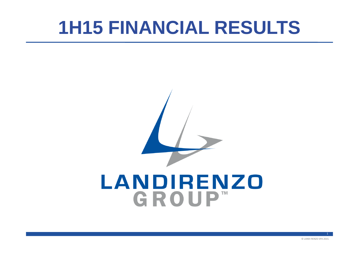# **1H15 FINANCIAL RESULTS**

# LANDIRENZO GROUP™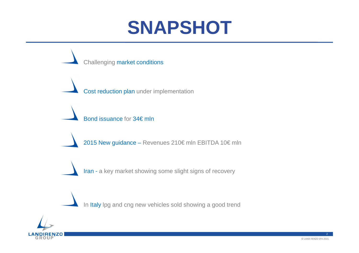### **SNAPSHOT**



In <mark>Italy</mark> lpg and cng new vehicles sold showing a good trend

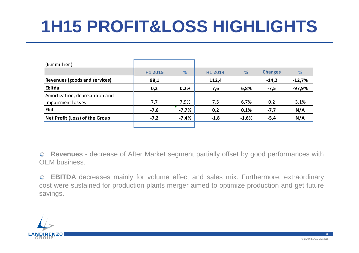# **1H15 PROFIT&LOSS HIGHLIGHTS**

| (Eur million)                  |         |         |         |         |                |          |
|--------------------------------|---------|---------|---------|---------|----------------|----------|
|                                | H1 2015 | %       | H1 2014 | %       | <b>Changes</b> | %        |
| Revenues (goods and services)  | 98,1    |         | 112,4   |         | $-14,2$        | $-12,7%$ |
| Ebitda                         | 0,2     | 0,2%    | 7,6     | 6,8%    | $-7,5$         | $-97,9%$ |
| Amortization, depreciation and |         |         |         |         |                |          |
| impairment losses              | 7,7     | 7,9%    | 7,5     | 6,7%    | 0,2            | 3,1%     |
| <b>Ebit</b>                    | $-7,6$  | $-7,7%$ | 0,2     | 0,1%    | $-7,7$         | N/A      |
| Net Profit (Loss) of the Group | $-7,2$  | $-7,4%$ | $-1,8$  | $-1,6%$ | $-5,4$         | N/A      |
|                                |         |         |         |         |                |          |

**Revenues** - decrease of After Market segment partially offset by good performances with OEM business.

**EBITDA** decreases mainly for volume effect and sales mix. Furthermore, extraordinary cost were sustained for production plants merger aimed to optimize production and get futuresavings.

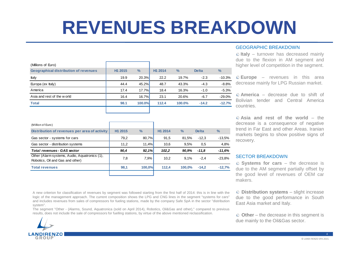# **REVENUES BREAKDOWN**

| (Millions of Euro)                           |         |               |         |               |              |               |
|----------------------------------------------|---------|---------------|---------|---------------|--------------|---------------|
| <b>Geographical distribution of revenues</b> | H1 2015 | $\frac{0}{0}$ | H1 2014 | $\frac{9}{6}$ | <b>Delta</b> | $\frac{0}{2}$ |
| Italy                                        | 19.9    | 20.3%         | 22.2    | 19.7%         | $-2.3$       | $-10.3%$      |
| Europa (ex Italy)                            | 44.4    | 45.2%         | 48.7    | 43.3%         | $-4.3$       | $-8.8%$       |
| America                                      | 17.4    | 17.7%         | 18.4    | 16.3%         | $-1.0$       | $-5.3%$       |
| Asia and rest of the world                   | 16.4    | 16.7%         | 23.1    | 20.6%         | $-6.7$       | $-29.0%$      |
| <b>Total</b>                                 | 98.1    | 100.0%        | 112.4   | 100.0%        | $-14.2$      | $-12.7%$      |
|                                              |         |               |         |               |              |               |

| (Million of Euro)                                                                 |                     |               |                     |               |              |               |
|-----------------------------------------------------------------------------------|---------------------|---------------|---------------------|---------------|--------------|---------------|
| Distribution of revenues per area of activity                                     | H <sub>1</sub> 2015 | $\frac{0}{0}$ | H <sub>1</sub> 2014 | $\frac{9}{6}$ | <b>Delta</b> | $\frac{0}{0}$ |
| Gas sector - systems for cars                                                     | 79,2                | 80,7%         | 91,5                | 81.5%         | $-12.3$      | $-13.5%$      |
| Gas sector - distribution systems                                                 | 11,2                | 11,4%         | 10,6                | 9.5%          | 0.5          | 4,8%          |
| <b>Total revenues - GAS sector</b>                                                | 90,4                | 92,1%         | 102,2               | 90,9%         | $-11.8$      | $-11.6%$      |
| Other (Alarm systems, Audio, Aquatronics (1),<br>Robotics, Oil and Gas and other) | 7,8                 | 7.9%          | 10,2                | 9.1%          | $-2.4$       | $-23.8%$      |
| <b>Total revenues</b>                                                             | 98,1                | 100,0%        | 112.4               | 100.0%        | $-14.2$      | $-12.7%$      |
|                                                                                   |                     |               |                     |               |              |               |

#### GEOGRAPHIC BREAKDOWN

 **Italy** – turnover has decreased mainly due to the flexion in AM segment andhigher level of competition in the segment.

**Europe** – revenues in this area decrease mainly for LPG Russian market.

**America** – decrease due to shift of Bolivian tender and Central Americacountries.

**Asia and rest of the world** – the decrease is <sup>a</sup> consequence of negative trend in Far East and other Areas. Iranian markets begins to show positive signs of recovery.

#### SECTOR BREAKDOWN

 **Systems for cars** – the decrease is due to the AM segment partially offset by the good level of revenues of OEM carmakers.

A new criterion for classification of revenues by segment was followed starting from the first half of 2014: this is in line with the logic of the management approach. The current composition shows the LPG and CNG lines in the segment "systems for cars" and includes revenues from sales of compressors for fueling stations, made by the company Safe SpA in the sector "distribution system".

 The segment "Other - (Alarms, Sound, Aquatronica (sold on April 2014), Robotics, Oil&Gas and other)," compared to previousresults, does not include the sale of compressors for fuelling stations, by virtue of the above mentioned reclassification.

**Distribution systems** – slight increase due to the good performance in SouthEast Asia market and Italy.

**Other** – the decrease in this segment isdue mainly to the Oil&Gas sector.

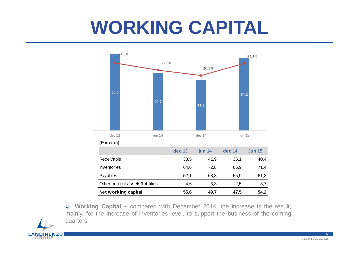# **WORKING CAPITAL**



**Working Capital –** compared with December 2014, the increase is the result, mainly, for the increase of inventories level, to support the business of the comingquarters.

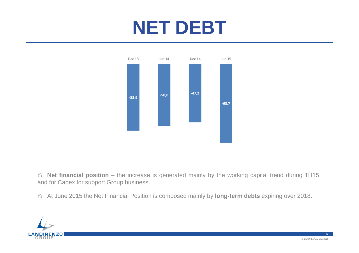# **NET DEBT**



**Net financial position** – the increase is generated mainly by the working capital trend during 1H15 and for Capex for support Group business.

At June 2015 the Net Financial Position is composed mainly by **long-term debts** expiring over 2018.

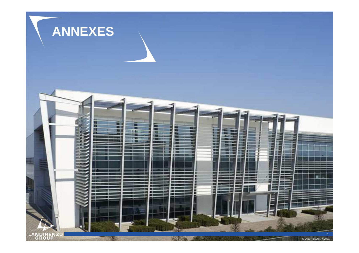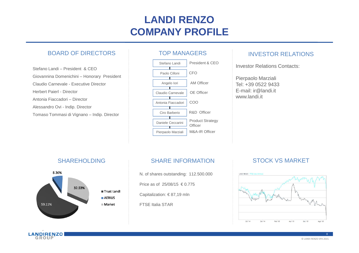#### **LANDI RENZO COMPANY PROFILE**

#### BOARD OF DIRECTORS

Stefano Landi – President & CEO Giovannina Domenichini – Honorary President Claudio Carnevale - Executive DirectorHerbert Paierl - DirectorAntonia Fiaccadori – DirectorAlessandro Ovi - Indip. DirectorTomaso Tommasi di Vignano – Indip. Director

![](_page_7_Figure_3.jpeg)

#### INVESTOR RELATIONS

Investor Relations Contacts:

Pierpaolo Marziali Tel: +39 0522 9433 E-mail: ir@landi.itwww.landi.it

#### SHAREHOLDING

![](_page_7_Figure_8.jpeg)

#### SHARE INFORMATION

N. of shares outstanding: 112.500.000Price as of 25/08/15 € 0.775

Capitalization: € 87,19 mln

FTSE Italia STAR

#### STOCK VS MARKET

![](_page_7_Figure_14.jpeg)

![](_page_7_Figure_15.jpeg)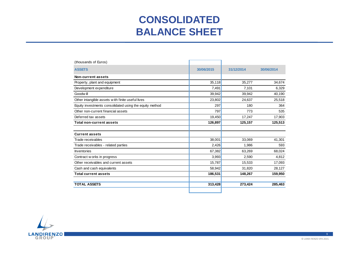#### **CONSOLIDATEDBALANCE SHEET**

| (thousands of Euros)                                    |            |            |            |
|---------------------------------------------------------|------------|------------|------------|
| <b>ASSETS</b>                                           | 30/06/2015 | 31/12/2014 | 30/06/2014 |
| Non-current assets                                      |            |            |            |
| Property, plant and equipment                           | 35,118     | 35,277     | 34,674     |
| Development expenditure                                 | 7,491      | 7,101      | 6,329      |
| Goodw ill                                               | 39,942     | 39,942     | 40,190     |
| Other intangible assets with finite useful lives        | 23,802     | 24,637     | 25,518     |
| Equity investments consolidated using the equity method | 297        | 180        | 364        |
| Other non-current financial assets                      | 797        | 773        | 535        |
| Deferred tax assets                                     | 19,450     | 17,247     | 17,903     |
| <b>Total non-current assets</b>                         | 126,897    | 125,157    | 125,513    |
|                                                         |            |            |            |
| <b>Current assets</b>                                   |            |            |            |
| Trade receivables                                       | 38,001     | 33,069     | 41,301     |
| Trade receivables - related parties                     | 2,426      | 1,986      | 593        |
| <b>Inventories</b>                                      | 67,382     | 63,269     | 68,024     |
| Contract w orks in progress                             | 3,993      | 2,590      | 4,812      |
| Other receivables and current assets                    | 15,787     | 15,533     | 17,093     |
| Cash and cash equivalents                               | 58,942     | 31,820     | 28,127     |
| <b>Total current assets</b>                             | 186,531    | 148,267    | 159,950    |
| <b>TOTAL ASSETS</b>                                     | 313,428    | 273,424    | 285,463    |
|                                                         |            |            |            |

![](_page_8_Picture_2.jpeg)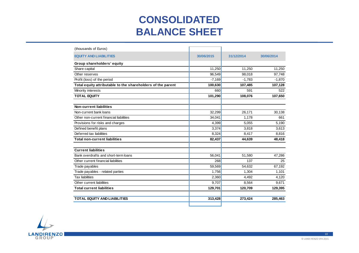#### **CONSOLIDATED BALANCE SHEET**

| (thousands of Euros)                                        |            |            |            |
|-------------------------------------------------------------|------------|------------|------------|
| <b>EQUITY AND LIABILITIES</b>                               | 30/06/2015 | 31/12/2014 | 30/06/2014 |
| Group shareholders' equity                                  |            |            |            |
| Share capital                                               | 11,250     | 11,250     | 11,250     |
| Other reserves                                              | 96,549     | 98,018     | 97.748     |
| Profit (loss) of the period                                 | $-7,169$   | $-1.783$   | $-1,870$   |
| Total equity attributable to the shareholders of the parent | 100,630    | 107,485    | 107,128    |
| Minority interests                                          | 660        | 591        | 522        |
| <b>TOTAL EQUITY</b>                                         | 101,290    | 108,076    | 107,650    |
| <b>Non-current liabilities</b>                              |            |            |            |
| Non-current bank loans                                      | 32,299     | 26,171     | 30,138     |
| Other non-current financial liabilities                     | 34,041     | 1,178      | 661        |
| Provisions for risks and charges                            | 4,399      | 5,055      | 5,190      |
| Defined benefit plans                                       | 3,374      | 3,818      | 3,613      |
| Deferred tax liabilities                                    | 8,324      | 8,417      | 8,816      |
| <b>Total non-current liabilities</b>                        | 82,437     | 44.639     | 48,418     |
| <b>Current liabilities</b>                                  |            |            |            |
| Bank overdrafts and short-term loans                        | 56,041     | 51,580     | 47,286     |
| Other current financial liabilities                         | 268        | 137        | 25         |
| Trade payables                                              | 59,569     | 54.632     | 67,192     |
| Trade payables - related parties                            | 1.756      | 1.304      | 1,101      |
| <b>Tax liabilities</b>                                      | 2,360      | 4,492      | 4,120      |
| Other current liabilities                                   | 9,707      | 8,564      | 9,671      |
| <b>Total current liabilities</b>                            | 129,701    | 120,709    | 129,395    |
| <b>TOTAL EQUITY AND LIABILITIES</b>                         | 313,428    | 273,424    | 285,463    |
|                                                             |            |            |            |

![](_page_9_Picture_2.jpeg)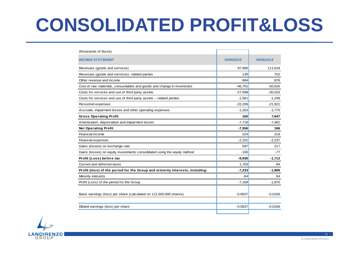# **CONSOLIDATED PROFIT&LOSS**

| (thousands of Euros)                                                         |            |            |
|------------------------------------------------------------------------------|------------|------------|
| <b>INCOME STATEMENT</b>                                                      | 30/06/2015 | 30/06/2014 |
| Revenues (goods and services)                                                | 97,990     | 111,618    |
| Revenues (goods and services)- related parties                               | 135        | 752        |
| Other revenue and income                                                     | 864        | 876        |
| Cost of raw materials, consumables and goods and change in inventories       | $-46,701$  | $-50,635$  |
| Costs for services and use of third party assets                             | $-27,098$  | $-30,025$  |
| Costs for services and use of third party assets - related parties           | $-1,561$   | $-1,248$   |
| Personnel expenses                                                           | $-22,206$  | $-21,921$  |
| Accruals, impairment losses and other operating expenses                     | $-1,263$   | $-1,770$   |
| <b>Gross Operating Profit</b>                                                | 160        | 7,647      |
| Amortization, depreciation and impairment losses                             | $-7,716$   | $-7,481$   |
| <b>Net Operating Profit</b>                                                  | $-7,556$   | 166        |
| Financial income                                                             | 224        | 219        |
| Financial expenses                                                           | $-2,101$   | $-2,237$   |
| Gains (losses) on exchange rate                                              | 597        | 217        |
| Gains (losses) on equity investments consolidated using the equity method    | $-100$     | -77        |
| Profit (Loss) before tax                                                     | $-8,936$   | $-1,712$   |
| Current and deferred taxes                                                   | 1,703      | $-94$      |
| Profit (loss) of the period for the Group and minority interests, including: | $-7,233$   | $-1,806$   |
| Minority interests                                                           | $-64$      | 64         |
| Profit (Loss) of the period for the Group                                    | $-7,169$   | $-1,870$   |
|                                                                              |            |            |
| Basic earnings (loss) per share (calculated on 112,500,000 shares)           | $-0.0637$  | $-0.0166$  |
|                                                                              |            |            |
| Diluted earnings (loss) per share                                            | $-0.0637$  | $-0.0166$  |

![](_page_10_Picture_2.jpeg)